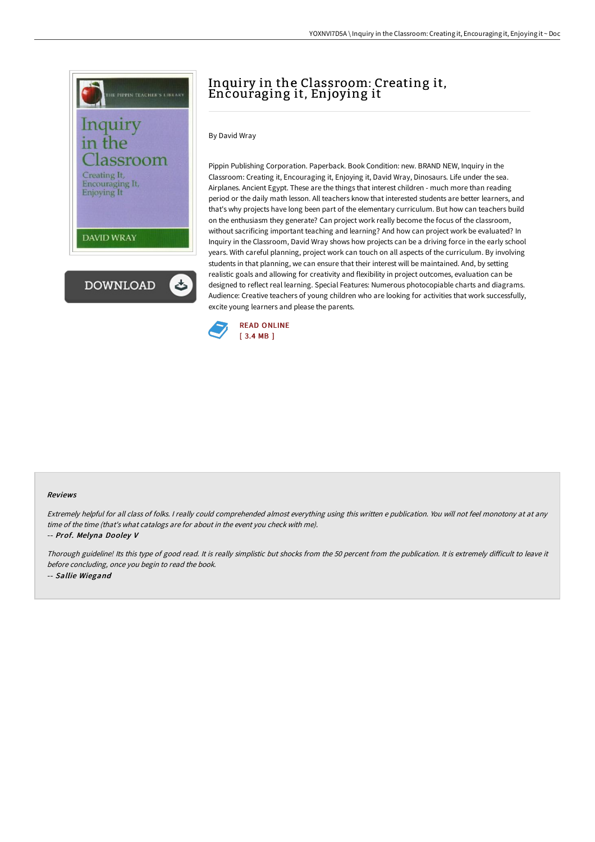

# Inquiry in the Classroom: Creating it, Encouraging it, Enjoying it

By David Wray

Pippin Publishing Corporation. Paperback. Book Condition: new. BRAND NEW, Inquiry in the Classroom: Creating it, Encouraging it, Enjoying it, David Wray, Dinosaurs. Life under the sea. Airplanes. Ancient Egypt. These are the things that interest children - much more than reading period or the daily math lesson. All teachers know that interested students are better learners, and that's why projects have long been part of the elementary curriculum. But how can teachers build on the enthusiasm they generate? Can project work really become the focus of the classroom, without sacrificing important teaching and learning? And how can project work be evaluated? In Inquiry in the Classroom, David Wray shows how projects can be a driving force in the early school years. With careful planning, project work can touch on all aspects of the curriculum. By involving students in that planning, we can ensure that their interest will be maintained. And, by setting realistic goals and allowing for creativity and flexibility in project outcomes, evaluation can be designed to reflect real learning. Special Features: Numerous photocopiable charts and diagrams. Audience: Creative teachers of young children who are looking for activities that work successfully, excite young learners and please the parents.



#### Reviews

Extremely helpful for all class of folks. <sup>I</sup> really could comprehended almost everything using this written <sup>e</sup> publication. You will not feel monotony at at any time of the time (that's what catalogs are for about in the event you check with me).

-- Prof. Melyna Dooley V

Thorough guideline! Its this type of good read. It is really simplistic but shocks from the 50 percent from the publication. It is extremely difficult to leave it before concluding, once you begin to read the book. -- Sallie Wiegand